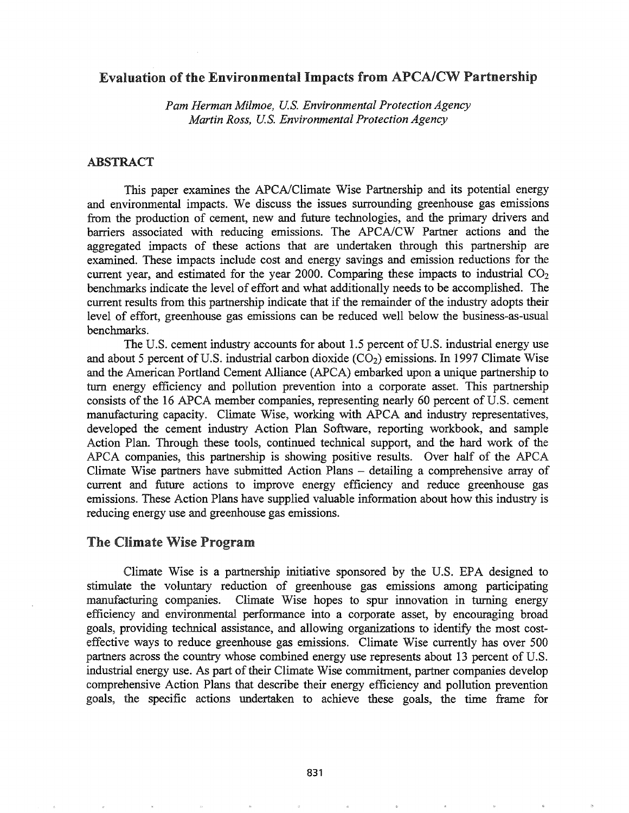## Evaluation of the Environmental Impacts from APCA/CW Partnership

*Pam Herman Milmoe, U.S. Environmental Protection Agency Martin Ross, U.S. Environmental Protection Agency*

### ABSTRACT

This paper examines the APCA/Climate Wise Partnership and its potential energy and environmental impacts. We discuss the issues surrounding greenhouse gas emissions from the production of cement, new and future technologies, and the primary drivers and barriers associated with reducing emissions. The APCA/CW Partner actions and the aggregated impacts of these actions that are undertaken through this partnership are examined. These impacts include cost and energy savings and emission reductions for the current year, and estimated for the year 2000. Comparing these impacts to industrial  $CO<sub>2</sub>$ benchmarks indicate the level of effort and what additionally needs to be accomplished. The current results from this partnership indicate that if the remainder of the industry adopts their level of effort, greenhouse gas emissions can be reduced well below the business-as-usual benchmarks.

The U.S. cement industry accounts for about 1.5 percent of U.S. industrial energy use and about 5 percent of U.S. industrial carbon dioxide  $(CO<sub>2</sub>)$  emissions. In 1997 Climate Wise and the American Portland Cement Alliance (APCA) embarked upon a unique partnership to turn energy efficiency and pollution prevention into a corporate asset. This partnership consists of the 16 APCA member companies, representing nearly 60 percent of U.S. cement manufacturing capacity. Climate Wise, working with APCA and industry representatives, developed the cement industry Action Plan Software, reporting workbook, and sample Action Plan. Through these tools, continued technical support, and the hard work of the APCA companies, this partnership is showing positive results. Over half of the APCA Climate Wise partners have submitted Action Plans - detailing a comprehensive array of current and future actions to improve energy efficiency and reduce greenhouse gas emissions. These Action Plans have supplied valuable information about how this industry is reducing energy use and greenhouse gas emissions.

### The Climate Wise Program

Climate Wise is a partnership initiative sponsored by the U.S. EPA designed to stimulate the voluntary reduction of greenhouse gas emissions among participating manufacturing companies. Climate Wise hopes to spur innovation in turning energy efficiency and environmental performance into a corporate asset, by encouraging broad goals, providing technical assistance, and allowing organizations to identify the most costeffective ways to reduce greenhouse gas emissions. Climate Wise currently has over 500 partners across the country whose combined energy use represents about 13 percent of U.S. industrial energy use. As part of their Climate Wise commitment, partner companies develop comprehensive Action Plans that describe their energy efficiency and pollution prevention goals, the specific actions undertaken to achieve these goals, the time frame for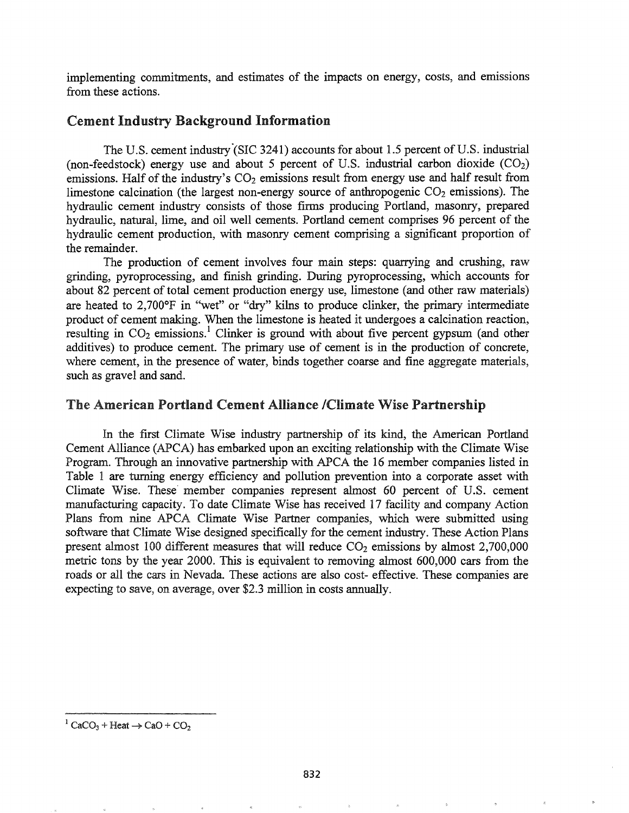implementing commitments, and estimates of the impacts on energy, costs, and emissions from these actions.

# Cement Industry Background Information

The U.S. cement industry (SIC 3241) accounts for about 1.5 percent of U.S. industrial (non-feedstock) energy use and about 5 percent of U.S. industrial carbon dioxide  $(CO<sub>2</sub>)$ emissions. Half of the industry's  $CO<sub>2</sub>$  emissions result from energy use and half result from limestone calcination (the largest non-energy source of anthropogenic  $CO<sub>2</sub>$  emissions). The hydraulic cement industry consists of those firms producing Portland, masonry, prepared hydraulic, natural, lime, and oil well cements. Portland cement comprises 96 percent of the hydraulic cement production, with masonry cement comprising a significant proportion of the remainder.

The production of cement involves four main steps: quarrying and crushing, raw grinding, pyroprocessing, and finish grinding. During pyroprocessing, which accounts for about 82 percent of total cement production energy use, limestone (and other raw materials) are heated to  $2,700^{\circ}$ F in "wet" or "dry" kilns to produce clinker, the primary intermediate product of cement making. When the limestone is heated it undergoes a calcination reaction, resulting in  $CO_2$  emissions.<sup>1</sup> Clinker is ground with about five percent gypsum (and other additives) to produce cement. The primary use of cement is in the production of concrete, where cement, in the presence of water, binds together coarse and fine aggregate materials, such as gravel and sand.

#### The American Portland Cement Alliance /Climate Wise Partnership

In the first Climate Wise industry partnership of its kind, the American Portland Cement Alliance (APCA) has embarked upon an exciting relationship with the Climate Wise Program. Through an innovative partnership with APCA the 16 member companies listed in Table 1 are turning energy efficiency and pollution prevention into a corporate asset with Climate Wise. These member companies represent almost 60 percent of U.S. cement manufacturing capacity. To date Climate Wise has received 17 facility and company Action Plans from nine APCA Climate Wise Partner companies, which were submitted using software that Climate Wise designed specifically for the cement industry. These Action Plans present almost 100 different measures that will reduce  $CO<sub>2</sub>$  emissions by almost 2,700,000 metric tons by the year 2000. This is equivalent to removing almost 600,000 cars from the roads or all the cars in Nevada. These actions are also cost- effective. These companies are expecting to save, on average, over \$2.3 million in costs annually.

 $1 \text{CaCO}_3 + \text{Heat} \rightarrow \text{CaO} + \text{CO}_2$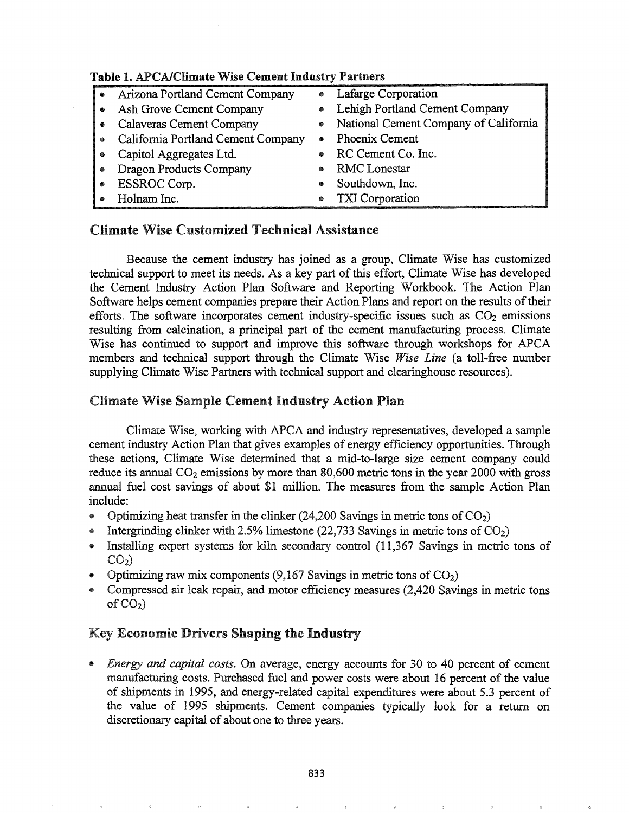| $\sim$                |                                    |           |                                         |  |
|-----------------------|------------------------------------|-----------|-----------------------------------------|--|
| $\bullet$             | Arizona Portland Cement Company    | $\bullet$ | Lafarge Corporation                     |  |
| $\bullet$             | Ash Grove Cement Company           | ●         | Lehigh Portland Cement Company          |  |
| $\bullet$             | Calaveras Cement Company           |           | • National Cement Company of California |  |
| $\bullet$             | California Portland Cement Company | ۰         | Phoenix Cement                          |  |
| ۰                     | Capitol Aggregates Ltd.            | ۰         | RC Cement Co. Inc.                      |  |
| $\qquad \qquad \circ$ | <b>Dragon Products Company</b>     | ۰         | RMC Lonestar                            |  |
| ۰                     | ESSROC Corp.                       | ◈         | Southdown, Inc.                         |  |
|                       | Holnam Inc.                        | ۰         | TXI Corporation                         |  |

# Table 1 APCA/Climate Wise Cement Industry Partners

# Climate Wise Customized Technical Assistance

Because the cement industry has joined as a group, Climate Wise has customized technical support to meet its needs. As a key part of this effort, Climate Wise has developed the Cement Industry Action Plan Software and Reporting Workbook. The Action Plan Software helps cement companies prepare their Action Plans and report on the results of their efforts. The software incorporates cement industry-specific issues such as  $CO<sub>2</sub>$  emissions resulting from calcination, a principal part of the cement manufacturing process. Climate Wise has continued to support and improve this software through workshops for APCA members and technical support through the Climate Wise *Wise Line* (a toll-free number supplying Climate Wise Partners with technical support and clearinghouse resources).

# Climate Wise Sample Cement Industry Action Plan

Climate Wise, working with APCA and industry representatives, developed a sample cement industry Action Plan that gives examples of energy efficiency opportunities. Through these actions, Climate Wise determined that a mid-to-Iarge size cement company could reduce its annual  $CO<sub>2</sub>$  emissions by more than 80,600 metric tons in the year 2000 with gross annual fuel cost savings of about \$1 million. The measures from the sample Action Plan include:

- Optimizing heat transfer in the clinker (24,200 Savings in metric tons of  $CO<sub>2</sub>$ )
- Intergrinding clinker with 2.5% limestone (22,733 Savings in metric tons of  $CO<sub>2</sub>$ )
- @ Installing expert systems for kiln secondary control (11,367 Savings in metric tons of  $CO<sub>2</sub>$ )
- Optimizing raw mix components (9,167 Savings in metric tons of  $CO<sub>2</sub>$ )
- @ Compressed air leak repair, and motor efficiency measures (2,420 Savings in metric tons of  $CO<sub>2</sub>$ )

# Key Economic Drivers Shaping the Industry

@ *Energy and capital costs.* On average, energy accounts for 30 to 40 percent of cement manufacturing costs. Purchased fuel and power costs were about 16 percent of the value of shipments in 1995, and energy-related capital expenditures were about 5.3 percent of the value of 1995 shipments. Cement companies typically look for a return on discretionary capital of about one to three years.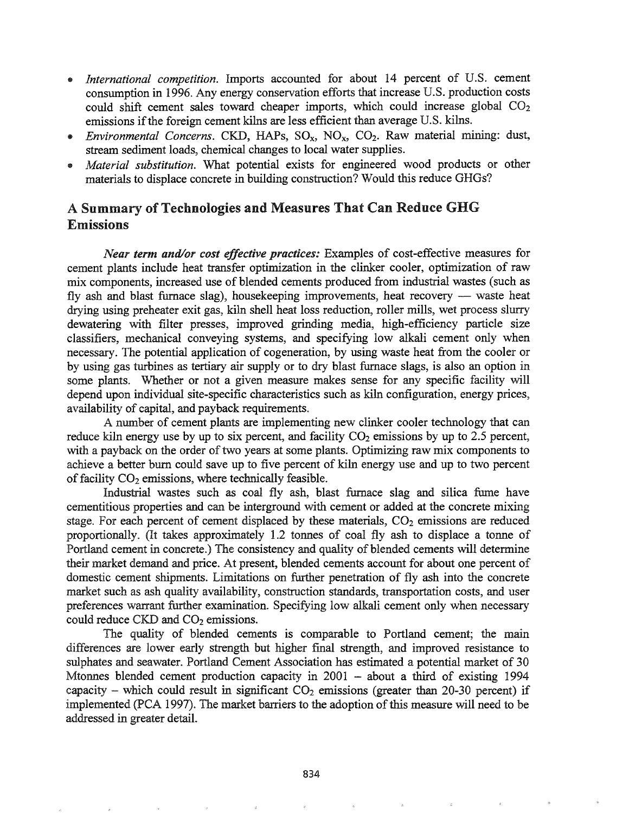- *International competition.* Imports accounted for about 14 percent of U.S. cement consumption in 1996. Any energy conservation efforts that increase U.S. production costs could shift cement sales toward cheaper imports, which could increase global  $CO<sub>2</sub>$ emissions if the foreign cement kilns are less efficient than average U.S. kilns.
- e *Environmental Concerns.* CKD, HAPs, SOx, NOx, C02. Raw material mining: dust, stream sediment loads, chemical changes to local water supplies.
- *• Material substitution.* What potential exists for engineered wood products or other materials to displace concrete in building construction? Would this reduce GHGs?

# A Summary of Technologies and Measures That Can Reduce GHG Emissions

*Near term and/or cost effective practices:* Examples of cost-effective measures for cement plants include heat transfer optimization in the clinker cooler, optimization of raw mix components, increased use of blended cements produced from industrial wastes (such as fly ash and blast furnace slag), housekeeping improvements, heat recovery — waste heat drying using preheater exit gas, kiln shell heat loss reduction, roller mills, wet process slurry dewatering with filter presses, improved grinding media, high-efficiency particle size classifiers, mechanical conveying systems, and specifying low alkali cement only when necessary. The potential application of cogeneration, by using waste heat from the cooler or by using gas turbines as tertiary air supply or to dry blast furnace slags, is also an option in some plants. Whether or not a given measure makes sense for any specific facility will depend upon individual site-specific characteristics such as kiln configuration, energy prices, availability of capital, and payback requirements.

A number of cement plants are implementing new clinker cooler technology that can reduce kiln energy use by up to six percent, and facility  $CO<sub>2</sub>$  emissions by up to 2.5 percent, with a payback on the order of two years at some plants. Optimizing raw mix components to achieve a better burn could save up to five percent of kiln energy use and up to two percent of facility  $CO<sub>2</sub>$  emissions, where technically feasible.

Industrial wastes such as coal fly ash, blast furnace slag and silica fume have cementitious properties and can be interground with cement or added at the concrete mixing stage. For each percent of cement displaced by these materials,  $CO<sub>2</sub>$  emissions are reduced proportionally. (It takes approximately 1.2 tonnes of coal fly ash to displace a tonne of Portland cement in concrete.) The consistency and quality of blended cements will determine their market demand and price. At present, blended cements account for about one percent of domestic cement shipments. Limitations on further penetration of fly ash into the concrete market such as ash quality availability, construction standards, transportation costs, and user preferences warrant further examination. Specifying low alkali cement only when necessary could reduce  $CKD$  and  $CO<sub>2</sub>$  emissions.

The quality of blended cements is comparable to Portland cement; the main differences are lower early strength but higher final strength, and improved resistance to sulphates and seawater. Portland Cement Association has estimated a potential market of 30 Mtonnes blended cement production capacity in 2001 - about a third of existing 1994 capacity – which could result in significant  $CO<sub>2</sub>$  emissions (greater than 20-30 percent) if implemented (PCA 1997). The market barriers to the adoption of this measure will need to be addressed in greater detail.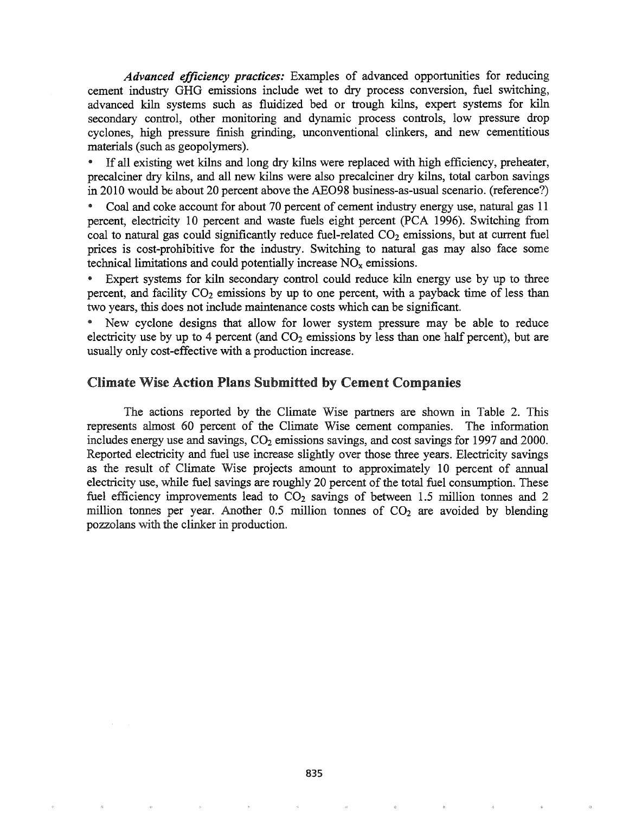*Advanced efficiency practices:* Examples of advanced opportunities for reducing cement industry GHG emissions include wet to dry process conversion, fuel switching, advanced kiln systems such as fluidized bed or trough kilns, expert systems for kiln secondary control, other monitoring and dynamic process controls, low pressure drop cyclones, high pressure finish grinding, unconventional clinkers, and new cementitious materials (such as geopolymers).

If all existing wet kilns and long dry kilns were replaced with high efficiency, preheater, precalciner dry kilns, and all new kilns were also precalciner dry kilns, total carbon savings in 2010 would be about 20 percent above the AE098 business-as-usual scenario. (reference?)

• Coal and coke account for about 70 percent of cement industry energy use, natural gas 11 percent, electricity 10 percent and waste fuels eight percent (PCA 1996). Switching from coal to natural gas could significantly reduce fuel-related  $CO<sub>2</sub>$  emissions, but at current fuel prices is cost-prohibitive for the industry. Switching to natural gas may also face some technical limitations and could potentially increase  $NO<sub>x</sub>$  emissions.

Expert systems for kiln secondary control could reduce kiln energy use by up to three percent, and facility  $CO<sub>2</sub>$  emissions by up to one percent, with a payback time of less than two years, this does not include maintenance costs which can be significant.

New cyclone designs that allow for lower system pressure may be able to reduce electricity use by up to 4 percent (and  $CO<sub>2</sub>$  emissions by less than one half percent), but are usually only cost-effective with a production increase.

## Climate Wise Action Plans Submitted by Cement Companies

The actions reported by the Climate Wise partners are shown in Table 2. This represents almost 60 percent of the Climate Wise cement companies. The information includes energy use and savings,  $CO<sub>2</sub>$  emissions savings, and cost savings for 1997 and 2000. Reported electricity and fuel use increase slightly over those three years. Electricity savings as the result of Climate Wise projects amount to approximately 10 percent of annual electricity use, while fuel savings are roughly 20 percent of the total fuel consumption. These fuel efficiency improvements lead to  $CO<sub>2</sub>$  savings of between 1.5 million tonnes and 2 million tonnes per year. Another  $0.5$  million tonnes of  $CO<sub>2</sub>$  are avoided by blending pozzolans with the clinker in production.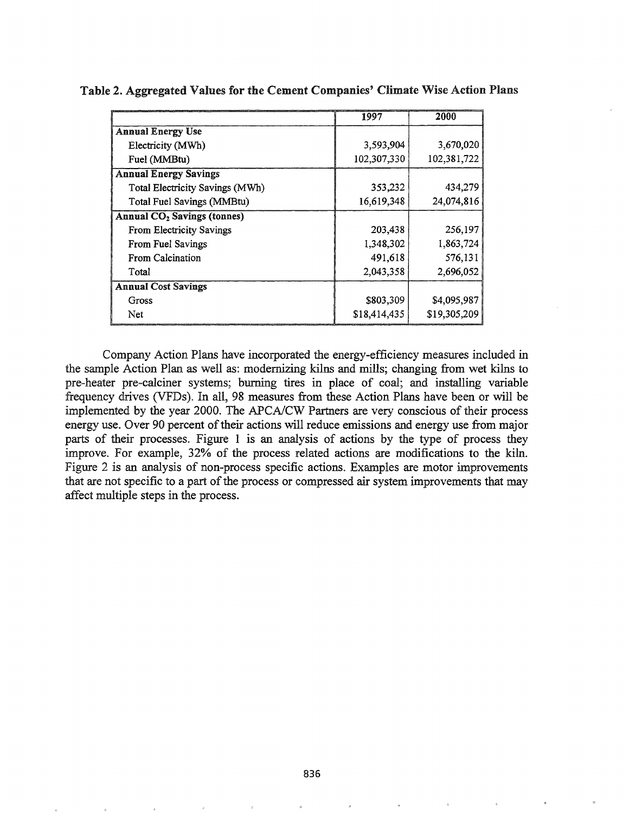|                                               | 1997         | 2000         |
|-----------------------------------------------|--------------|--------------|
| <b>Annual Energy Use</b>                      |              |              |
| Electricity (MWh)                             | 3.593,904    | 3,670,020    |
| Fuel (MMBtu)                                  | 102,307,330  | 102,381,722  |
| <b>Annual Energy Savings</b>                  |              |              |
| Total Electricity Savings (MWh)               | 353,232      | 434,279      |
| Total Fuel Savings (MMBtu)                    | 16,619,348   | 24,074,816   |
| <b>Annual CO<sub>2</sub></b> Savings (tonnes) |              |              |
| From Electricity Savings                      | 203,438      | 256,197      |
| From Fuel Savings                             | 1,348,302    | 1,863,724    |
| From Calcination                              | 491,618      | 576,131      |
| Total                                         | 2,043,358    | 2,696,052    |
| <b>Annual Cost Savings</b>                    |              |              |
| Gross                                         | \$803,309    | \$4,095,987  |
| Net                                           | \$18,414,435 | \$19,305,209 |

Table 2. Aggregated Values for the Cement Companies' Climate Wise Action Plans

Company Action Plans have incorporated the energy-efficiency measures included in the sample Action Plan as well as: modernizing kilns and mills; changing from wet kilns to pre-heater pre-calciner systems; burning tires in place of coal; and installing variable frequency drives (VFDs). In all, 98 measures from these Action Plans have been or will be implemented by the year 2000. The APCA/CW Partners are very conscious of their process energy use. Over 90 percent of their actions will reduce emissions and energy use from major parts of their processes. Figure 1 is an analysis of actions by the type of process they improve. For example, 32% of the process related actions are modifications to the kiln. Figure 2 is an analysis of non-process specific actions. Examples are motor improvements that are not specific to a part of the process or compressed air system improvements that may affect multiple steps in the process.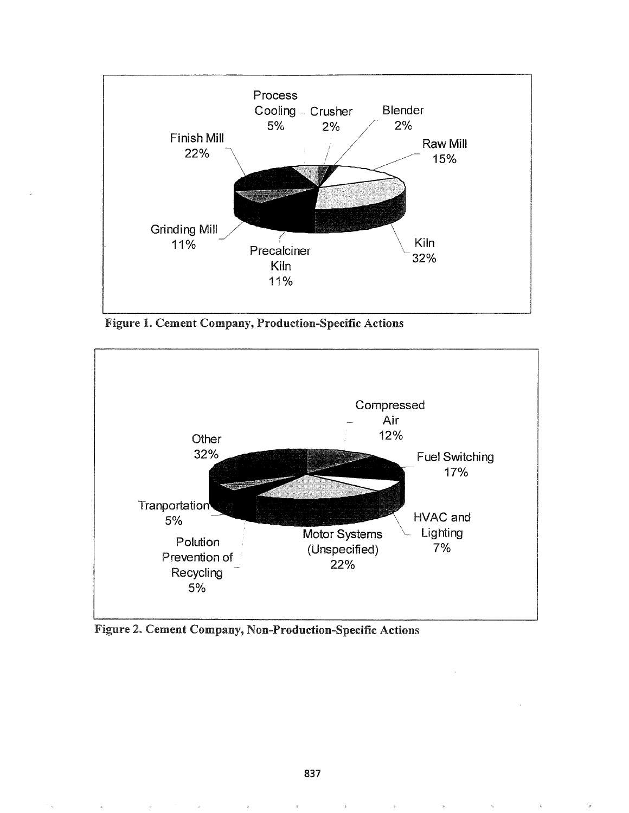

Figure 1. Cement Company, Production-Specific Actions



Figure 2. Cement Company, Non-Production-Specific Actions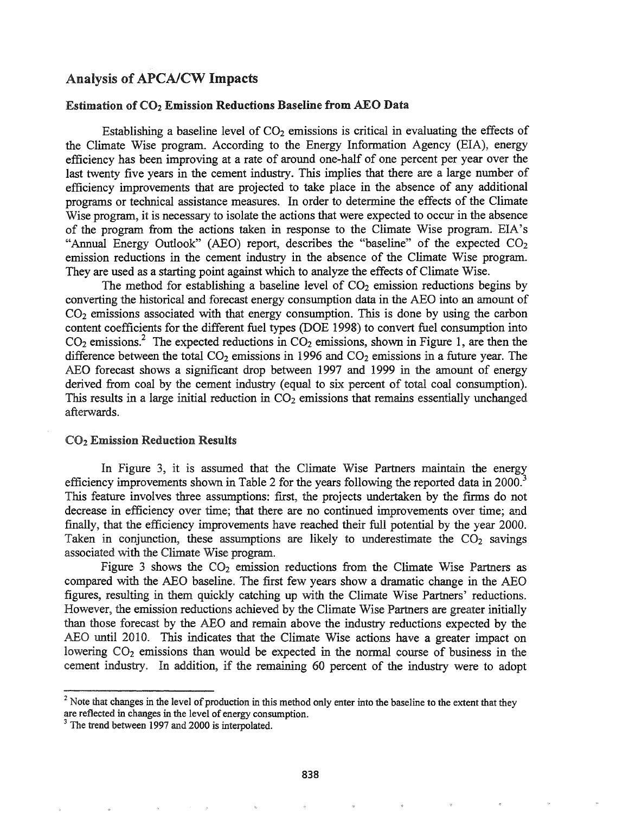## Analysis of APCA/CW Impacts

#### Estimation of  $CO<sub>2</sub>$  Emission Reductions Baseline from AEO Data.

Establishing a baseline level of  $CO<sub>2</sub>$  emissions is critical in evaluating the effects of the Climate Wise program. According to the Energy Information Agency (EIA), energy efficiency has been improving at a rate of around one-half of one percent per year over the last twenty five years in the cement industry. This implies that there are a large number of efficiency improvements that are projected to take place in the absence of any additional programs or technical assistance measures. In order to determine the effects of the Climate Wise program, it is necessary to isolate the actions that were expected to occur in the absence of the program from the actions taken in response to the Climate Wise program. EIA's "Annual Energy Outlook" (AEO) report, describes the "baseline" of the expected  $CO<sub>2</sub>$ emission reductions in the cement industry in the absence of the Climate Wise program. They are used as a starting point against which to analyze the effects of Climate Wise.

The method for establishing a baseline level of  $CO<sub>2</sub>$  emission reductions begins by converting the historical and forecast energy consumption data in the AEO into an amount of  $CO<sub>2</sub>$  emissions associated with that energy consumption. This is done by using the carbon content coefficients for the different fuel types (DOE 1998) to convert fuel consumption into  $CO<sub>2</sub>$  emissions.<sup>2</sup> The expected reductions in  $CO<sub>2</sub>$  emissions, shown in Figure 1, are then the difference between the total  $CO<sub>2</sub>$  emissions in 1996 and  $CO<sub>2</sub>$  emissions in a future year. The ABO forecast shows a significant drop between 1997 and 1999 in the amount of energy derived from coal by the cement industry (equal to six percent of total coal consumption). This results in a large initial reduction in  $CO<sub>2</sub>$  emissions that remains essentially unchanged afterwards.

### CO<sup>2</sup> Emission Reduction Results

In Figure 3, it is assumed that the Climate Wise Partners maintain the energy efficiency improvements shown in Table 2 for the years following the reported data in 2000.<sup>3</sup> This feature involves three assumptions: first, the projects undertaken by the firms do not decrease in efficiency over time; that there are no continued improvements over time; and finally, that the efficiency improvements have reached their full potential by the year 2000. Taken in conjunction, these assumptions are likely to underestimate the  $CO<sub>2</sub>$  savings associated with the Climate Wise program.

Figure 3 shows the  $CO<sub>2</sub>$  emission reductions from the Climate Wise Partners as compared with the AEO baseline. The first few years show a dramatic change in the AEO figures, resulting in them quickly catching up with the Climate Wise Partners' reductions\* However, the emission reductions achieved by the Climate Wise Partners are greater initially than those forecast by the AEO and remain above the industry reductions expected by the AEO until 2010. This indicates that the Climate Wise actions have a greater impact on lowering  $CO<sub>2</sub>$  emissions than would be expected in the normal course of business in the cement industry. In addition, if the remaining 60 percent of the industry were to adopt

 $<sup>2</sup>$  Note that changes in the level of production in this method only enter into the baseline to the extent that they</sup> are reflected in changes in the level of energy consumption.

 $3$  The trend between 1997 and 2000 is interpolated.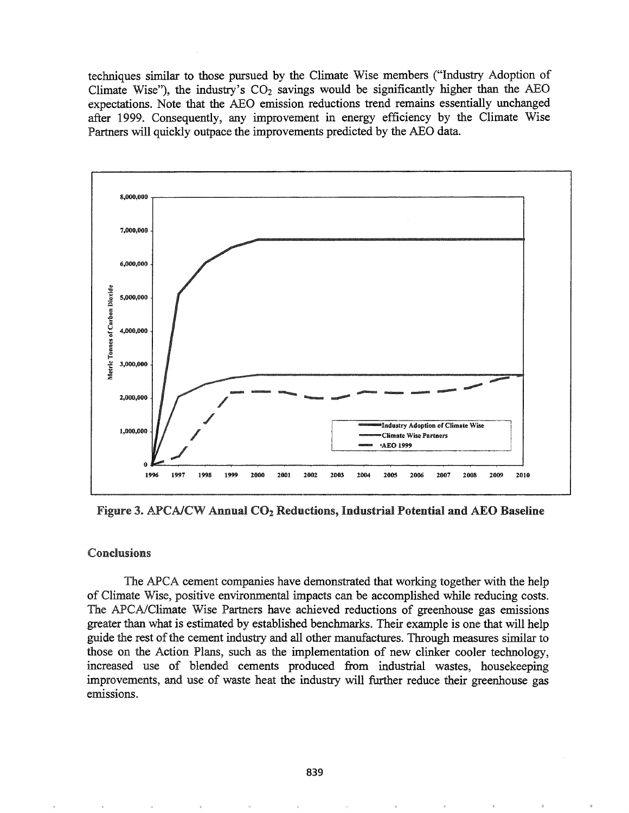techniques similar to those pursued by the Climate Wise members ("Industry Adoption of Climate Wise"), the industry's  $CO<sub>2</sub>$  savings would be significantly higher than the AEO expectations. Note that the AEO emission reductions trend remains essentially unchanged after 1999. Consequently, any improvement in energy efficiency by the Climate Wise Partners will quickly outpace the improvements predicted by the AEO data.



Figure 3. APCA/CW Annual  $CO<sub>2</sub>$  Reductions, Industrial Potential and AEO Baseline

#### Conclusions

The APCA cement companies have demonstrated that working together with the help of Climate Wise, positive environmental impacts can be accomplished while reducing costs. The APCA/Climate Wise Partners have achieved reductions of greenhouse gas emissions greater than what is estimated by established benchmarks. Their example is one that will help guide the rest of the cement industry and all other manufactures. Through measures similar to those on the Action Plans, such as the implementation of new clinker cooler technology, increased use of blended cements produced from industrial wastes, housekeeping improvements, and use of waste heat the industry will further reduce their greenhouse gas emissions.